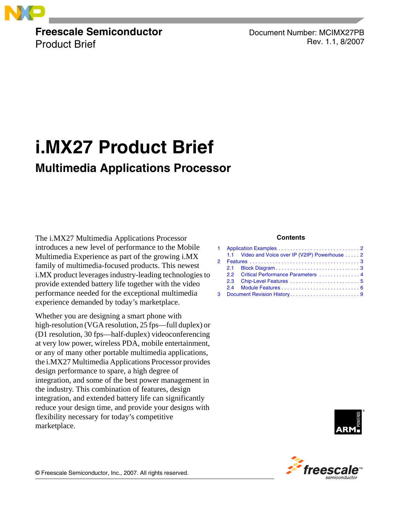

**Freescale Semiconductor** Product Brief

Document Number: MCIMX27PB Rev. 1.1, 8/2007

# **i.MX27 Product Brief Multimedia Applications Processor**

The i.MX27 Multimedia Applications Processor introduces a new level of performance to the Mobile Multimedia Experience as part of the growing i.MX family of multimedia-focused products. This newest i.MX product leverages industry-leading technologies to provide extended battery life together with the video performance needed for the exceptional multimedia experience demanded by today's marketplace.

Whether you are designing a smart phone with high-resolution (VGA resolution, 25 fps—full duplex) or (D1 resolution, 30 fps—half-duplex) videoconferencing at very low power, wireless PDA, mobile entertainment, or any of many other portable multimedia applications, the i.MX27 Multimedia Applications Processor provides design performance to spare, a high degree of integration, and some of the best power management in the industry. This combination of features, design integration, and extended battery life can significantly reduce your design time, and provide your designs with flexibility necessary for today's competitive marketplace.

### **Contents**

|  | 1.1 Video and Voice over IP (V2IP) Powerhouse  2 |  |  |  |
|--|--------------------------------------------------|--|--|--|
|  |                                                  |  |  |  |
|  |                                                  |  |  |  |
|  | 2.2 Critical Performance Parameters  4           |  |  |  |
|  |                                                  |  |  |  |
|  |                                                  |  |  |  |
|  |                                                  |  |  |  |



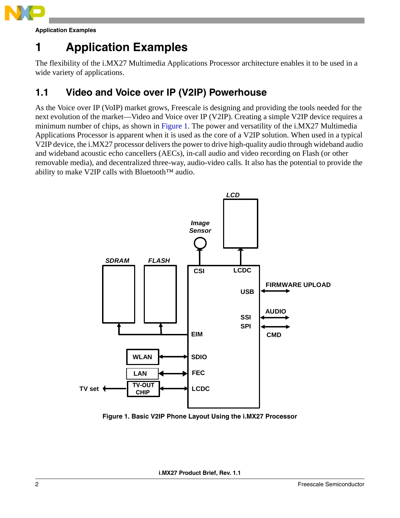

**Application Examples**

# <span id="page-1-0"></span>**1 Application Examples**

The flexibility of the i.MX27 Multimedia Applications Processor architecture enables it to be used in a wide variety of applications.

# <span id="page-1-1"></span>**1.1 Video and Voice over IP (V2IP) Powerhouse**

As the Voice over IP (VoIP) market grows, Freescale is designing and providing the tools needed for the next evolution of the market—Video and Voice over IP (V2IP). Creating a simple V2IP device requires a minimum number of chips, as shown in Figure 1. The power and versatility of the i.MX27 Multimedia Applications Processor is apparent when it is used as the core of a V2IP solution. When used in a typical V2IP device, the i.MX27 processor delivers the power to drive high-quality audio through wideband audio and wideband acoustic echo cancellers (AECs), in-call audio and video recording on Flash (or other removable media), and decentralized three-way, audio-video calls. It also has the potential to provide the ability to make V2IP calls with Bluetooth™ audio.



**Figure 1. Basic V2IP Phone Layout Using the i.MX27 Processor**

**i.MX27 Product Brief, Rev. 1.1**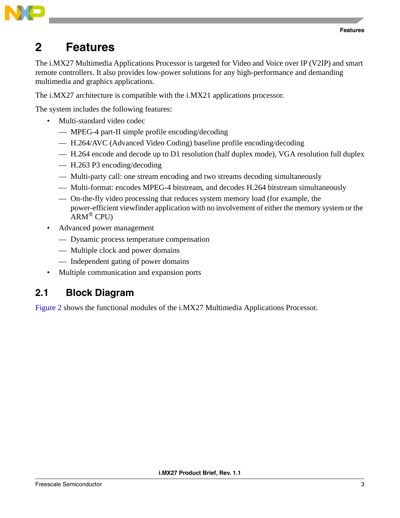

# <span id="page-2-0"></span>**2 Features**

The i.MX27 Multimedia Applications Processor is targeted for Video and Voice over IP (V2IP) and smart remote controllers. It also provides low-power solutions for any high-performance and demanding multimedia and graphics applications.

The i.MX27 architecture is compatible with the i.MX21 applications processor.

The system includes the following features:

- Multi-standard video codec
	- MPEG-4 part-II simple profile encoding/decoding
	- H.264/AVC (Advanced Video Coding) baseline profile encoding/decoding
	- H.264 encode and decode up to D1 resolution (half duplex mode), VGA resolution full duplex
	- H.263 P3 encoding/decoding
	- Multi-party call: one stream encoding and two streams decoding simultaneously
	- Multi-format: encodes MPEG-4 bitstream, and decodes H.264 bitstream simultaneously
	- On-the-fly video processing that reduces system memory load (for example, the power-efficient viewfinder application with no involvement of either the memory system or the  $ARM^®$  CPU)
- Advanced power management
	- Dynamic process temperature compensation
	- Multiple clock and power domains
	- Independent gating of power domains
- Multiple communication and expansion ports

## <span id="page-2-1"></span>**2.1 Block Diagram**

[Figure 2](#page-3-1) shows the functional modules of the i.MX27 Multimedia Applications Processor.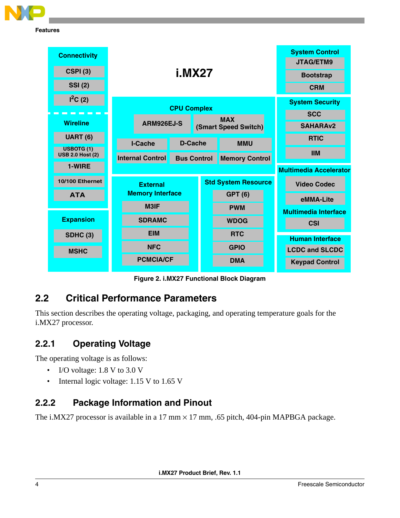

**Features**



**Figure 2. i.MX27 Functional Block Diagram**

# <span id="page-3-1"></span><span id="page-3-0"></span>**2.2 Critical Performance Parameters**

This section describes the operating voltage, packaging, and operating temperature goals for the i.MX27 processor.

## **2.2.1 Operating Voltage**

The operating voltage is as follows:

- I/O voltage: 1.8 V to 3.0 V
- Internal logic voltage: 1.15 V to 1.65 V

## **2.2.2 Package Information and Pinout**

The i.MX27 processor is available in a 17 mm  $\times$  17 mm, .65 pitch, 404-pin MAPBGA package.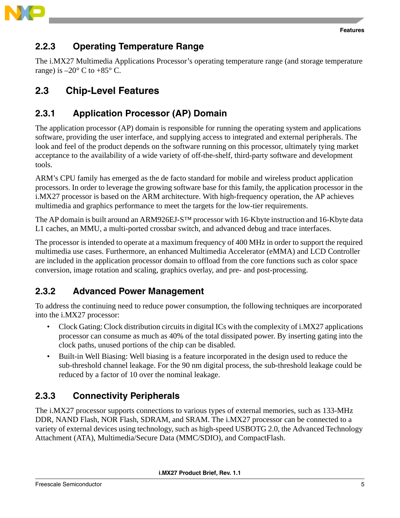

### <span id="page-4-1"></span>**2.2.3 Operating Temperature Range**

The i.MX27 Multimedia Applications Processor's operating temperature range (and storage temperature range) is  $-20^{\circ}$  C to  $+85^{\circ}$  C.

# <span id="page-4-0"></span>**2.3 Chip-Level Features**

# **2.3.1 Application Processor (AP) Domain**

The application processor (AP) domain is responsible for running the operating system and applications software, providing the user interface, and supplying access to integrated and external peripherals. The look and feel of the product depends on the software running on this processor, ultimately tying market acceptance to the availability of a wide variety of off-the-shelf, third-party software and development tools.

ARM's CPU family has emerged as the de facto standard for mobile and wireless product application processors. In order to leverage the growing software base for this family, the application processor in the i.MX27 processor is based on the ARM architecture. With high-frequency operation, the AP achieves multimedia and graphics performance to meet the targets for the low-tier requirements.

The AP domain is built around an ARM926EJ-S<sup>TM</sup> processor with 16-Kbyte instruction and 16-Kbyte data L1 caches, an MMU, a multi-ported crossbar switch, and advanced debug and trace interfaces.

The processor is intended to operate at a maximum frequency of 400 MHz in order to support the required multimedia use cases. Furthermore, an enhanced Multimedia Accelerator (eMMA) and LCD Controller are included in the application processor domain to offload from the core functions such as color space conversion, image rotation and scaling, graphics overlay, and pre- and post-processing.

## **2.3.2 Advanced Power Management**

To address the continuing need to reduce power consumption, the following techniques are incorporated into the i.MX27 processor:

- Clock Gating: Clock distribution circuits in digital ICs with the complexity of i.MX27 applications processor can consume as much as 40% of the total dissipated power. By inserting gating into the clock paths, unused portions of the chip can be disabled.
- Built-in Well Biasing: Well biasing is a feature incorporated in the design used to reduce the sub-threshold channel leakage. For the 90 nm digital process, the sub-threshold leakage could be reduced by a factor of 10 over the nominal leakage.

# **2.3.3 Connectivity Peripherals**

The i.MX27 processor supports connections to various types of external memories, such as 133-MHz DDR, NAND Flash, NOR Flash, SDRAM, and SRAM. The i.MX27 processor can be connected to a variety of external devices using technology, such as high-speed USBOTG 2.0, the Advanced Technology Attachment (ATA), Multimedia/Secure Data (MMC/SDIO), and CompactFlash.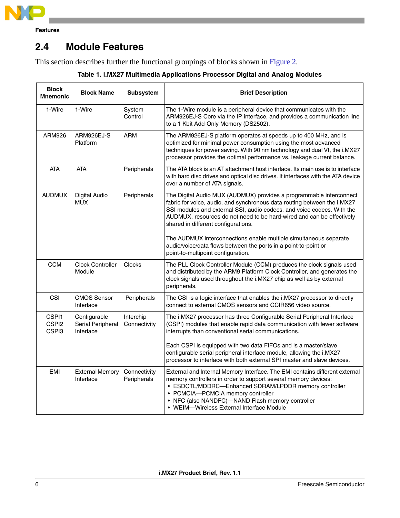

**Features**

# <span id="page-5-0"></span>**2.4 Module Features**

This section describes further the functional groupings of blocks shown in [Figure 2](#page-3-1).

|  |  |  | Table 1. i.MX27 Multimedia Applications Processor Digital and Analog Modules |
|--|--|--|------------------------------------------------------------------------------|
|  |  |  |                                                                              |

| <b>Block</b><br><b>Mnemonic</b>     | <b>Block Name</b>                              | Subsystem                   | <b>Brief Description</b>                                                                                                                                                                                                                                                                                                                     |
|-------------------------------------|------------------------------------------------|-----------------------------|----------------------------------------------------------------------------------------------------------------------------------------------------------------------------------------------------------------------------------------------------------------------------------------------------------------------------------------------|
| 1-Wire                              | 1-Wire                                         | System<br>Control           | The 1-Wire module is a peripheral device that communicates with the<br>ARM926EJ-S Core via the IP interface, and provides a communication line<br>to a 1 Kbit Add-Only Memory (DS2502).                                                                                                                                                      |
| ARM926                              | ARM926EJ-S<br>Platform                         | ARM                         | The ARM926EJ-S platform operates at speeds up to 400 MHz, and is<br>optimized for minimal power consumption using the most advanced<br>techniques for power saving. With 90 nm technology and dual Vt, the i.MX27<br>processor provides the optimal performance vs. leakage current balance.                                                 |
| <b>ATA</b>                          | <b>ATA</b>                                     | Peripherals                 | The ATA block is an AT attachment host interface. Its main use is to interface<br>with hard disc drives and optical disc drives. It interfaces with the ATA device<br>over a number of ATA signals.                                                                                                                                          |
| <b>AUDMUX</b>                       | <b>Digital Audio</b><br><b>MUX</b>             | Peripherals                 | The Digital Audio MUX (AUDMUX) provides a programmable interconnect<br>fabric for voice, audio, and synchronous data routing between the i.MX27<br>SSI modules and external SSI, audio codecs, and voice codecs. With the<br>AUDMUX, resources do not need to be hard-wired and can be effectively<br>shared in different configurations.    |
|                                     |                                                |                             | The AUDMUX interconnections enable multiple simultaneous separate<br>audio/voice/data flows between the ports in a point-to-point or<br>point-to-multipoint configuration.                                                                                                                                                                   |
| <b>CCM</b>                          | <b>Clock Controller</b><br>Module              | Clocks                      | The PLL Clock Controller Module (CCM) produces the clock signals used<br>and distributed by the ARM9 Platform Clock Controller, and generates the<br>clock signals used throughout the i.MX27 chip as well as by external<br>peripherals.                                                                                                    |
| CSI                                 | <b>CMOS Sensor</b><br>Interface                | Peripherals                 | The CSI is a logic interface that enables the i.MX27 processor to directly<br>connect to external CMOS sensors and CCIR656 video source.                                                                                                                                                                                                     |
| CSPI1<br>CSPI <sub>2</sub><br>CSPI3 | Configurable<br>Serial Peripheral<br>Interface | Interchip<br>Connectivity   | The i.MX27 processor has three Configurable Serial Peripheral Interface<br>(CSPI) modules that enable rapid data communication with fewer software<br>interrupts than conventional serial communications.                                                                                                                                    |
|                                     |                                                |                             | Each CSPI is equipped with two data FIFOs and is a master/slave<br>configurable serial peripheral interface module, allowing the i.MX27<br>processor to interface with both external SPI master and slave devices.                                                                                                                           |
| EMI                                 | <b>External Memory</b><br>Interface            | Connectivity<br>Peripherals | External and Internal Memory Interface. The EMI contains different external<br>memory controllers in order to support several memory devices:<br>• ESDCTL/MDDRC-Enhanced SDRAM/LPDDR memory controller<br>• PCMCIA-PCMCIA memory controller<br>• NFC (also NANDFC)-NAND Flash memory controller<br>• WEIM-Wireless External Interface Module |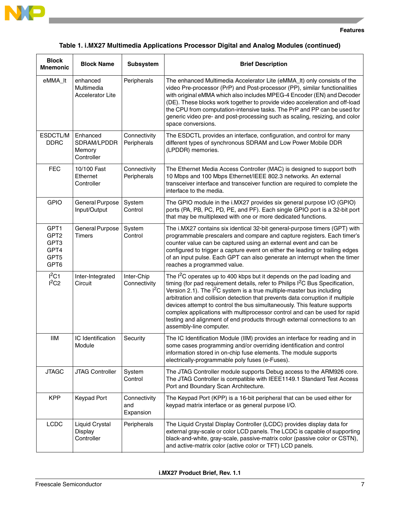

### **Table 1. i.MX27 Multimedia Applications Processor Digital and Analog Modules (continued)**

| <b>Block</b><br><b>Mnemonic</b>                          | <b>Block Name</b>                                 | <b>Subsystem</b>                 | <b>Brief Description</b>                                                                                                                                                                                                                                                                                                                                                                                                                                                                                                                                                                          |
|----------------------------------------------------------|---------------------------------------------------|----------------------------------|---------------------------------------------------------------------------------------------------------------------------------------------------------------------------------------------------------------------------------------------------------------------------------------------------------------------------------------------------------------------------------------------------------------------------------------------------------------------------------------------------------------------------------------------------------------------------------------------------|
| eMMA_lt                                                  | enhanced<br>Multimedia<br><b>Accelerator Lite</b> | Peripherals                      | The enhanced Multimedia Accelerator Lite (eMMA_It) only consists of the<br>video Pre-processor (PrP) and Post-processor (PP), similar functionalities<br>with original eMMA which also includes MPEG-4 Encoder (EN) and Decoder<br>(DE). These blocks work together to provide video acceleration and off-load<br>the CPU from computation-intensive tasks. The PrP and PP can be used for<br>generic video pre- and post-processing such as scaling, resizing, and color<br>space conversions.                                                                                                   |
| ESDCTL/M<br><b>DDRC</b>                                  | Enhanced<br>SDRAM/LPDDR<br>Memory<br>Controller   | Connectivity<br>Peripherals      | The ESDCTL provides an interface, configuration, and control for many<br>different types of synchronous SDRAM and Low Power Mobile DDR<br>(LPDDR) memories.                                                                                                                                                                                                                                                                                                                                                                                                                                       |
| <b>FEC</b>                                               | 10/100 Fast<br>Ethernet<br>Controller             | Connectivity<br>Peripherals      | The Ethernet Media Access Controller (MAC) is designed to support both<br>10 Mbps and 100 Mbps Ethernet/IEEE 802.3 networks. An external<br>transceiver interface and transceiver function are required to complete the<br>interface to the media.                                                                                                                                                                                                                                                                                                                                                |
| <b>GPIO</b>                                              | General Purpose<br>Input/Output                   | System<br>Control                | The GPIO module in the i.MX27 provides six general purpose I/O (GPIO)<br>ports (PA, PB, PC, PD, PE, and PF). Each single GPIO port is a 32-bit port<br>that may be multiplexed with one or more dedicated functions.                                                                                                                                                                                                                                                                                                                                                                              |
| GPT1<br>GPT <sub>2</sub><br>GPT3<br>GPT4<br>GPT5<br>GPT6 | General Purpose<br><b>Timers</b>                  | System<br>Control                | The i.MX27 contains six identical 32-bit general-purpose timers (GPT) with<br>programmable prescalers and compare and capture registers. Each timer's<br>counter value can be captured using an external event and can be<br>configured to trigger a capture event on either the leading or trailing edges<br>of an input pulse. Each GPT can also generate an interrupt when the timer<br>reaches a programmed value.                                                                                                                                                                            |
| $I^2C1$<br>1 <sup>2</sup> C2                             | Inter-Integrated<br>Circuit                       | Inter-Chip<br>Connectivity       | The $I2C$ operates up to 400 kbps but it depends on the pad loading and<br>timing (for pad requirement details, refer to Philips I <sup>2</sup> C Bus Specification,<br>Version 2.1). The $I^2C$ system is a true multiple-master bus including<br>arbitration and collision detection that prevents data corruption if multiple<br>devices attempt to control the bus simultaneously. This feature supports<br>complex applications with multiprocessor control and can be used for rapid<br>testing and alignment of end products through external connections to an<br>assembly-line computer. |
| <b>IIM</b>                                               | IC Identification<br>Module                       | Security                         | The IC Identification Module (IIM) provides an interface for reading and in<br>some cases programming and/or overriding identification and control<br>information stored in on-chip fuse elements. The module supports<br>electrically-programmable poly fuses (e-Fuses).                                                                                                                                                                                                                                                                                                                         |
| <b>JTAGC</b>                                             | JTAG Controller                                   | System<br>Control                | The JTAG Controller module supports Debug access to the ARM926 core.<br>The JTAG Controller is compatible with IEEE1149.1 Standard Test Access<br>Port and Boundary Scan Architecture.                                                                                                                                                                                                                                                                                                                                                                                                            |
| <b>KPP</b>                                               | Keypad Port                                       | Connectivity<br>and<br>Expansion | The Keypad Port (KPP) is a 16-bit peripheral that can be used either for<br>keypad matrix interface or as general purpose I/O.                                                                                                                                                                                                                                                                                                                                                                                                                                                                    |
| <b>LCDC</b>                                              | Liquid Crystal<br>Display<br>Controller           | Peripherals                      | The Liquid Crystal Display Controller (LCDC) provides display data for<br>external gray-scale or color LCD panels. The LCDC is capable of supporting<br>black-and-white, gray-scale, passive-matrix color (passive color or CSTN),<br>and active-matrix color (active color or TFT) LCD panels.                                                                                                                                                                                                                                                                                                   |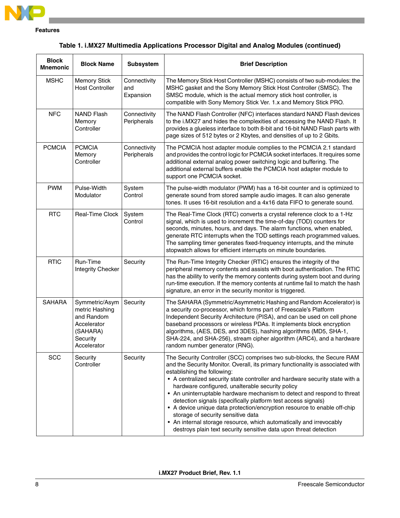

### **Table 1. i.MX27 Multimedia Applications Processor Digital and Analog Modules (continued)**

| <b>Block</b><br><b>Mnemonic</b> | <b>Block Name</b>                                                                                    | Subsystem                        | <b>Brief Description</b>                                                                                                                                                                                                                                                                                                                                                                                                                                                                                                                                                                                                                                                                                                               |
|---------------------------------|------------------------------------------------------------------------------------------------------|----------------------------------|----------------------------------------------------------------------------------------------------------------------------------------------------------------------------------------------------------------------------------------------------------------------------------------------------------------------------------------------------------------------------------------------------------------------------------------------------------------------------------------------------------------------------------------------------------------------------------------------------------------------------------------------------------------------------------------------------------------------------------------|
| <b>MSHC</b>                     | <b>Memory Stick</b><br><b>Host Controller</b>                                                        | Connectivity<br>and<br>Expansion | The Memory Stick Host Controller (MSHC) consists of two sub-modules: the<br>MSHC gasket and the Sony Memory Stick Host Controller (SMSC). The<br>SMSC module, which is the actual memory stick host controller, is<br>compatible with Sony Memory Stick Ver. 1.x and Memory Stick PRO.                                                                                                                                                                                                                                                                                                                                                                                                                                                 |
| <b>NFC</b>                      | <b>NAND Flash</b><br>Memory<br>Controller                                                            | Connectivity<br>Peripherals      | The NAND Flash Controller (NFC) interfaces standard NAND Flash devices<br>to the i.MX27 and hides the complexities of accessing the NAND Flash. It<br>provides a glueless interface to both 8-bit and 16-bit NAND Flash parts with<br>page sizes of 512 bytes or 2 Kbytes, and densities of up to 2 Gbits.                                                                                                                                                                                                                                                                                                                                                                                                                             |
| <b>PCMCIA</b>                   | <b>PCMCIA</b><br>Memory<br>Controller                                                                | Connectivity<br>Peripherals      | The PCMCIA host adapter module complies to the PCMCIA 2.1 standard<br>and provides the control logic for PCMCIA socket interfaces. It requires some<br>additional external analog power switching logic and buffering. The<br>additional external buffers enable the PCMCIA host adapter module to<br>support one PCMCIA socket.                                                                                                                                                                                                                                                                                                                                                                                                       |
| <b>PWM</b>                      | Pulse-Width<br>Modulator                                                                             | System<br>Control                | The pulse-width modulator (PWM) has a 16-bit counter and is optimized to<br>generate sound from stored sample audio images. It can also generate<br>tones. It uses 16-bit resolution and a 4x16 data FIFO to generate sound.                                                                                                                                                                                                                                                                                                                                                                                                                                                                                                           |
| <b>RTC</b>                      | Real-Time Clock                                                                                      | System<br>Control                | The Real-Time Clock (RTC) converts a crystal reference clock to a 1-Hz<br>signal, which is used to increment the time-of-day (TOD) counters for<br>seconds, minutes, hours, and days. The alarm functions, when enabled,<br>generate RTC interrupts when the TOD settings reach programmed values.<br>The sampling timer generates fixed-frequency interrupts, and the minute<br>stopwatch allows for efficient interrupts on minute boundaries.                                                                                                                                                                                                                                                                                       |
| <b>RTIC</b>                     | Run-Time<br><b>Integrity Checker</b>                                                                 | Security                         | The Run-Time Integrity Checker (RTIC) ensures the integrity of the<br>peripheral memory contents and assists with boot authentication. The RTIC<br>has the ability to verify the memory contents during system boot and during<br>run-time execution. If the memory contents at runtime fail to match the hash<br>signature, an error in the security monitor is triggered.                                                                                                                                                                                                                                                                                                                                                            |
| <b>SAHARA</b>                   | Symmetric/Asym<br>metric Hashing<br>and Random<br>Accelerator<br>(SAHARA)<br>Security<br>Accelerator | Security                         | The SAHARA (Symmetric/Asymmetric Hashing and Random Accelerator) is<br>a security co-processor, which forms part of Freescale's Platform<br>Independent Security Architecture (PISA), and can be used on cell phone<br>baseband processors or wireless PDAs. It implements block encryption<br>algorithms, (AES, DES, and 3DES), hashing algorithms (MD5, SHA-1,<br>SHA-224, and SHA-256), stream cipher algorithm (ARC4), and a hardware<br>random number generator (RNG).                                                                                                                                                                                                                                                            |
| <b>SCC</b>                      | Security<br>Controller                                                                               | Security                         | The Security Controller (SCC) comprises two sub-blocks, the Secure RAM<br>and the Security Monitor. Overall, its primary functionality is associated with<br>establishing the following:<br>• A centralized security state controller and hardware security state with a<br>hardware configured, unalterable security policy<br>• An uninterruptable hardware mechanism to detect and respond to threat<br>detection signals (specifically platform test access signals)<br>• A device unique data protection/encryption resource to enable off-chip<br>storage of security sensitive data<br>• An internal storage resource, which automatically and irrevocably<br>destroys plain text security sensitive data upon threat detection |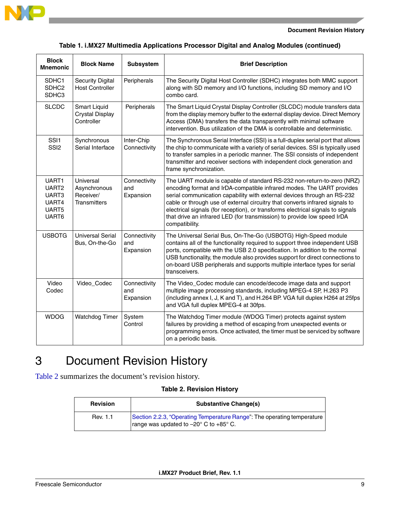

#### **Document Revision History**

### **Table 1. i.MX27 Multimedia Applications Processor Digital and Analog Modules (continued)**

| <b>Block</b><br><b>Mnemonic</b>                                | <b>Block Name</b>                                             | Subsystem                        | <b>Brief Description</b>                                                                                                                                                                                                                                                                                                                                                                                                                                                                   |
|----------------------------------------------------------------|---------------------------------------------------------------|----------------------------------|--------------------------------------------------------------------------------------------------------------------------------------------------------------------------------------------------------------------------------------------------------------------------------------------------------------------------------------------------------------------------------------------------------------------------------------------------------------------------------------------|
| SDHC1<br>SDHC <sub>2</sub><br>SDHC3                            | <b>Security Digital</b><br><b>Host Controller</b>             | Peripherals                      | The Security Digital Host Controller (SDHC) integrates both MMC support<br>along with SD memory and I/O functions, including SD memory and I/O<br>combo card.                                                                                                                                                                                                                                                                                                                              |
| <b>SLCDC</b>                                                   | <b>Smart Liquid</b><br><b>Crystal Display</b><br>Controller   | Peripherals                      | The Smart Liquid Crystal Display Controller (SLCDC) module transfers data<br>from the display memory buffer to the external display device. Direct Memory<br>Access (DMA) transfers the data transparently with minimal software<br>intervention. Bus utilization of the DMA is controllable and deterministic.                                                                                                                                                                            |
| SSI1<br>SSI <sub>2</sub>                                       | Synchronous<br>Serial Interface                               | Inter-Chip<br>Connectivity       | The Synchronous Serial Interface (SSI) is a full-duplex serial port that allows<br>the chip to communicate with a variety of serial devices. SSI is typically used<br>to transfer samples in a periodic manner. The SSI consists of independent<br>transmitter and receiver sections with independent clock generation and<br>frame synchronization.                                                                                                                                       |
| UART1<br>UART <sub>2</sub><br>UART3<br>UART4<br>UART5<br>UART6 | Universal<br>Asynchronous<br>Receiver/<br><b>Transmitters</b> | Connectivity<br>and<br>Expansion | The UART module is capable of standard RS-232 non-return-to-zero (NRZ)<br>encoding format and IrDA-compatible infrared modes. The UART provides<br>serial communication capability with external devices through an RS-232<br>cable or through use of external circuitry that converts infrared signals to<br>electrical signals (for reception), or transforms electrical signals to signals<br>that drive an infrared LED (for transmission) to provide low speed IrDA<br>compatibility. |
| <b>USBOTG</b>                                                  | <b>Universal Serial</b><br>Bus, On-the-Go                     | Connectivity<br>and<br>Expansion | The Universal Serial Bus, On-The-Go (USBOTG) High-Speed module<br>contains all of the functionality required to support three independent USB<br>ports, compatible with the USB 2.0 specification. In addition to the normal<br>USB functionality, the module also provides support for direct connections to<br>on-board USB peripherals and supports multiple interface types for serial<br>transceivers.                                                                                |
| Video<br>Codec                                                 | Video_Codec                                                   | Connectivity<br>and<br>Expansion | The Video_Codec module can encode/decode image data and support<br>multiple image processing standards, including MPEG-4 SP, H.263 P3<br>(including annex I, J, K and T), and H.264 BP. VGA full duplex H264 at 25fps<br>and VGA full duplex MPEG-4 at 30fps.                                                                                                                                                                                                                              |
| <b>WDOG</b>                                                    | <b>Watchdog Timer</b>                                         | System<br>Control                | The Watchdog Timer module (WDOG Timer) protects against system<br>failures by providing a method of escaping from unexpected events or<br>programming errors. Once activated, the timer must be serviced by software<br>on a periodic basis.                                                                                                                                                                                                                                               |

# <span id="page-8-0"></span>3 Document Revision History

Table 2 summarizes the document's revision history.

### **Table 2. Revision History**

| <b>Revision</b> | <b>Substantive Change(s)</b>                                                                                                        |
|-----------------|-------------------------------------------------------------------------------------------------------------------------------------|
| Rev. 1.1        | Section 2.2.3, "Operating Temperature Range": The operating temperature<br>range was updated to $-20^{\circ}$ C to $+85^{\circ}$ C. |